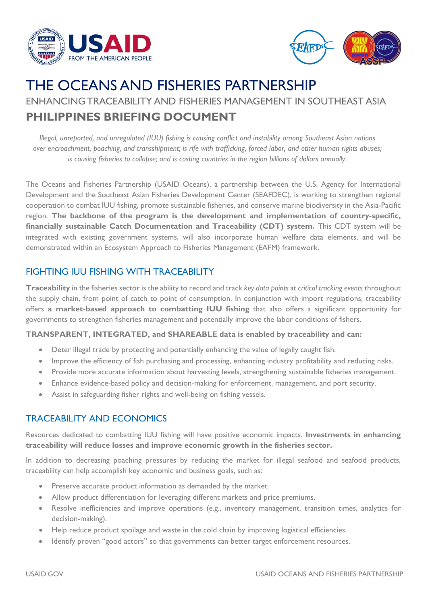



# THE OCEANS AND FISHERIES PARTNERSHIP

ENHANCING TRACEABILITY AND FISHERIES MANAGEMENT IN SOUTHEAST ASIA **PHILIPPINES BRIEFING DOCUMENT**

*Illegal, unreported, and unregulated (IUU) fishing is causing conflict and instability among Southeast Asian nations over encroachment, poaching, and transshipment; is rife with trafficking, forced labor, and other human rights abuses; is causing fisheries to collapse; and is costing countries in the region billions of dollars annually*.

The Oceans and Fisheries Partnership (USAID Oceans), a partnership between the U.S. Agency for International Development and the Southeast Asian Fisheries Development Center (SEAFDEC), is working to strengthen regional cooperation to combat IUU fishing, promote sustainable fisheries, and conserve marine biodiversity in the Asia-Pacific region. **The backbone of the program is the development and implementation of country-specific, financially sustainable Catch Documentation and Traceability (CDT) system.** This CDT system will be integrated with existing government systems, will also incorporate human welfare data elements, and will be demonstrated within an Ecosystem Approach to Fisheries Management (EAFM) framework.

### FIGHTING IUU FISHING WITH TRACEABILITY

**Traceability** in the fisheries sector is the ability to record and track *key data points* at *critical tracking events* throughout the supply chain, from point of catch to point of consumption. In conjunction with import regulations, traceability offers **a market-based approach to combatting IUU fishing** that also offers a significant opportunity for governments to strengthen fisheries management and potentially improve the labor conditions of fishers.

#### **TRANSPARENT, INTEGRATED, and SHAREABLE data is enabled by traceability and can:**

- Deter illegal trade by protecting and potentially enhancing the value of legally caught fish.
- Improve the efficiency of fish purchasing and processing, enhancing industry profitability and reducing risks.
- Provide more accurate information about harvesting levels, strengthening sustainable fisheries management.
- Enhance evidence-based policy and decision-making for enforcement, management, and port security.
- Assist in safeguarding fisher rights and well-being on fishing vessels.

#### TRACEABILITY AND ECONOMICS

Resources dedicated to combatting IUU fishing will have positive economic impacts. **Investments in enhancing traceability will reduce losses and improve economic growth in the fisheries sector.**

In addition to decreasing poaching pressures by reducing the market for illegal seafood and seafood products, traceability can help accomplish key economic and business goals, such as:

- Preserve accurate product information as demanded by the market.
- Allow product differentiation for leveraging different markets and price premiums.
- Resolve inefficiencies and improve operations (e.g., inventory management, transition times, analytics for decision-making).
- Help reduce product spoilage and waste in the cold chain by improving logistical efficiencies.
- Identify proven "good actors" so that governments can better target enforcement resources.